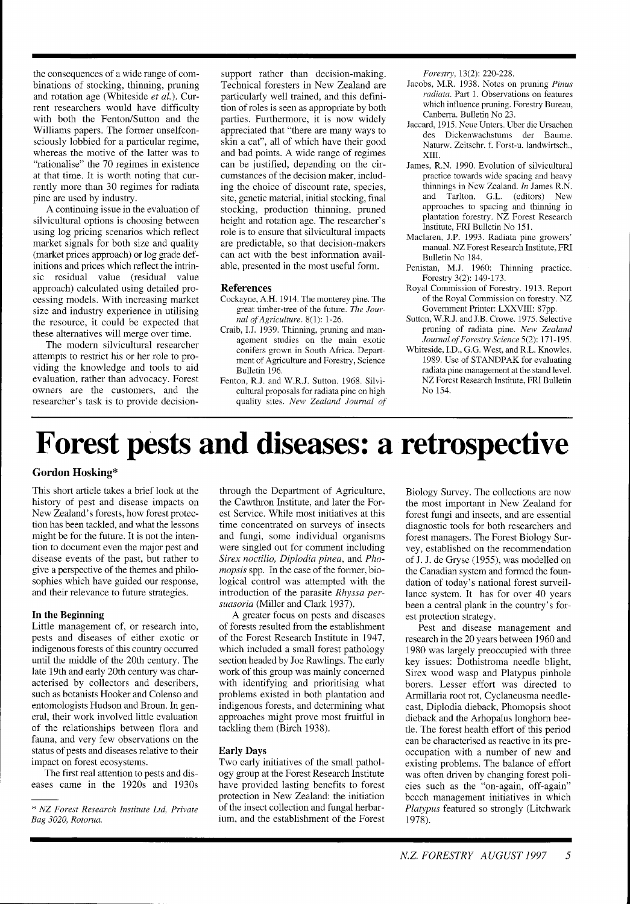the consequences of a wide range of combinations of stocking, thinning, pruning and rotation age (Whiteside *et al.).* Current researchers would have difficulty with both the Fenton/Sutton and the Williams papers. The former unselfconsciously lobbied for a particular regime, whereas the motive of the latter was to "rationalise" the 70 regimes in existence at that time. It is worth noting that currently more than 30 regimes for radiata pine are used by industry.

A continuing issue in the evaluation of silvicultural options is choosing between using log pricing scenarios which reflect market signals for both size and quality (market prices approach) or log grade definitions and prices which reflect the intrinsic residual value (residual value approach) calculated using detailed processing models. With increasing market size and industry experience in utilising the resource, it could be expected that these alternatives will merge over time.

The modern silvicultural researcher attempts to restrict his or her role to providing the knowledge and tools to aid evaluation, rather than advocacy. Forest owners are the customers, and the researcher's task is to provide decisionsupport rather than decision-making. Technical foresters in New Zealand are particularly well trained, and this definition of roles is seen as appropriate by both parties. Furthermore, it is now widely appreciated that "there are many ways to skin a cat", all of which have their good and bad points. A wide range of regimes can be justified, depending on the circumstances of the decision maker, including the choice of discount rate, species, site, genetic material, initial stocking, final stocking, production thinning, pruned height and rotation age. The researcher's role is to ensure that silvicultural impacts are predictable, so that decision-makers can act with the best information available, presented in the most useful form.

#### **References**

- Cockayne, A.H. 1914. The monterey pine. The great timber-tree of the future. *The Journal of Agriculture.* 8(1): 1-26.
- Craib, I.J. 1939. Thinning, pruning and management studies on the main exotic conifers grown in South Africa. Department of Agriculture and Forestry, Science Bulletin 196.
- Fenton, R.J. and W.R.J. Sutton. 1968. Silvicultural proposals for radiata pine on high quality sites. *New Zealand Journal of*

*Forestv,* 13(2): 220-228.

- Jacobs, M.R. 1938. Notes on pruning *Pinus radiata.* Part 1. Observations on features which influence pruning. Forestry Bureau, Canberra. Bulletin No 23.
- Jaccard, 1915. Neue Unters. Uber die Ursachen des Dickenwachstums der Baume. Naturw. Zeitschr. f. Forst-u. landwirtsch., XIII.
- James, R.N. 1990. Evolution of silvicultural practice towards wide spacing and heavy thinnings in New Zealand. *In* James R.N. and Tarlton, G.L. (editors) New approaches to spacing and thinning in plantation forestry. NZ Forest Research Institute, FRI Bulletin No. 151.
- Maclaren, J.P. 1993. Radiata pine growers' manual. NZ Forest Research Institute, FRI Bulletin No 184.
- Penistan, M.J. 1960: Thinning practice. Forestry 3(2): 149-173.
- Royal Commission of Forestry. 1913. Report of the Royal Commission on forestry. NZ Government Printer: LXXVIII: 87pp.
- Sutton, W.R.J. and J.B. Crowe. 1975. Selective pruning of radiata pine. *New Zealand Journal of Forestv Science* 5(2): 171- 195.
- Whiteside, I.D., G.G. West, and R.L. Knowles. 1989. Use of STANDPAK for evaluating radiata pine management at the stand level. NZ Forest Research Institute, FRI Bulletin No 154.

## **Forest pests and diseases: a retrospective**

#### **Gordon Hosking\***

This short article takes a brief look at the history of pest and disease impacts on New Zealand's forests, how forest protection has been tackled, and what the lessons might be for the future. It is not the intention to document even the major pest and disease events of the past, but rather to give a perspective of the themes and philosophies which have guided our response, and their relevance to future strategies.

#### **In the Beginning**

Little management of, or research into, pests and diseases of either exotic or indigenous forests of this country occurred until the middle of the 20th century. The late 19th and early 20th century was characterised by collectors and describers, such as botanists Hooker and Colenso and entomologists Hudson and Broun. In general, their work involved little evaluation of the relationships between flora and fauna, and very few observations on the status of pests and diseases relative to their impact on forest ecosystems.

The first real attention to pests and diseases came in the 1920s and 1930s through the Department of Agriculture, the Cawthron Institute, and later the Forest Service. While most initiatives at this time concentrated on surveys of insects and fungi, some individual organisms were singled out for comment including *Sirex noctilio, Diplodia pinea,* and *Phomopsis* spp. In the case of the former, biological control was attempted with the introduction of the parasite *Rhyssa persuasoria* (Miller and Clark 1937).

A greater focus on pests and diseases of forests resulted from the establishment of the Forest Research Institute in 1947, which included a small forest pathology section headed by Joe Rawlings. The early work of this group was mainly concerned with identifying and prioritising what problems existed in both plantation and indigenous forests, and determining what approaches might prove most fruitful in tackling them (Birch 1938).

#### **Early Days**

Two early initiatives of the small pathology group at the Forest Research Institute have provided lasting benefits to forest protection in New Zealand: the initiation of the insect collection and fungal herbarium, and the establishment of the Forest Biology Survey. The collections are now the most important in New Zealand for forest fungi and insects, and are essential diagnostic tools for both researchers and forest managers. The Forest Biology Survey, established on the recommendation of J. J. de Gryse (1955), was modelled on the Canadian system and formed the foundation of today's national forest surveillance system. It has for over 40 years been a central plank in the country's forest protection strategy.

Pest and disease management and research in the 20 years between 1960 and 1980 was largely preoccupied with three key issues: Dothistroma needle blight, Sirex wood wasp and Platypus pinhole borers. Lesser effort was directed to Armillaria root rot, Cyclaneusma needlecast, Diplodia dieback, Phomopsis shoot dieback and the Arhopalus longhorn beetle. The forest health effort of this period can be characterised as reactive in its preoccupation with a number of new and existing problems. The balance of effort was often driven by changing forest policies such as the "on-again, off-again" beech management initiatives in which *Platypus* featured so strongly (Litchwark 1978).

<sup>&</sup>quot; *NZ Forest Research Institute Ltd, Private Bag 3020, Rotorua.*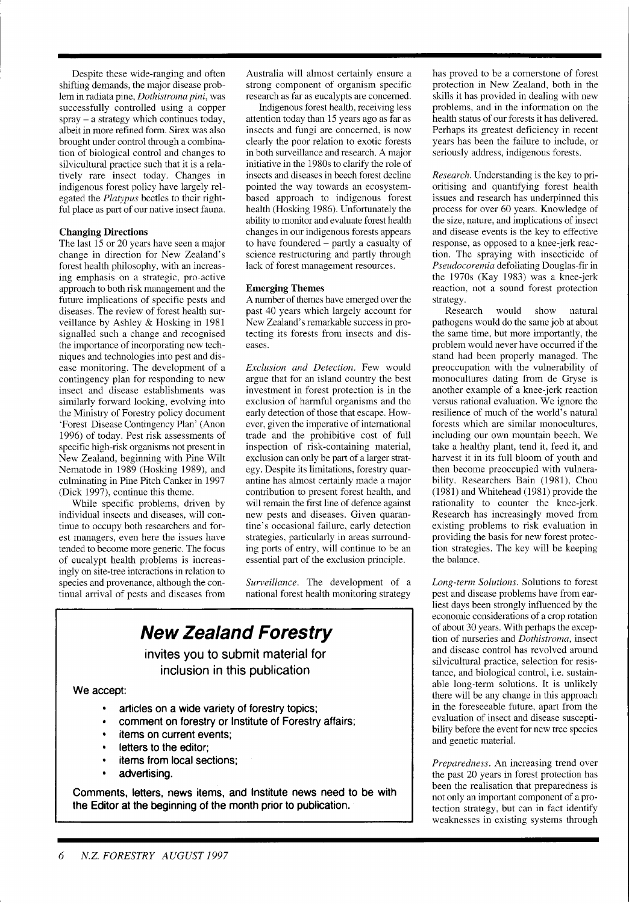Despite these wide-ranging and often shifting demands, the major disease problem in radiata pine, *Dothistroma pini,* was successfully controlled using a copper spray - a strategy which continues today, albeit in more refined form. Sirex was also brought under control through a combination of biological control and changes to silvicultural practice such that it is a relatively rare insect today. Changes in indigenous forest policy have largely relegated the *Platypus* beetles to their rightful place as part of our native insect fauna.

#### **Changing Directions**

The last 15 or 20 years have seen a major change in direction for New Zealand's forest health philosophy, with an increasing emphasis on a strategic, pro-active approach to both risk management and the future implications of specific pests and diseases. The review of forest health surveillance by Ashley & Hosking in 1981 signalled such a change and recognised the importance of incorporating new techniques and technologies into pest and disease monitoring. The development of a contingency plan for responding to new insect and disease establishments was similarly forward looking, evolving into the Ministry of Forestry policy document 'Forest Disease Contingency Plan' (Anon 1996) of today. Pest risk assessments of specific high-risk organisms not present in New Zealand, beginning with Pine Wilt Nematode in 1989 (Hosking 1989), and culminating in Pine Pitch Canker in 1997 (Dick 1997), continue this theme.

While specific problems, driven by individual insects and diseases, will continue to occupy both researchers and forest managers, even here the issues have tended to become more generic. The focus of eucalypt health problems is increasingly on site-tree interactions in relation to species and provenance, although the continual arrival of pests and diseases from Australia will almost certainly ensure a strong component of organism specific research as far as eucalypts are concerned.

Indigenous forest health, receiving less attention today than 15 years ago as far as insects and fungi are concerned, is now clearly the poor relation to exotic forests in both surveillance and research. A major initiative in the 1980s to clarify the role of insects and diseases in beech forest decline pointed the way towards an ecosystembased approach to indigenous forest health (Hosking 1986). Unfortunately the ability to monitor and evaluate forest health changes in our indigenous forests appears to have foundered - partly a casualty of science restructuring and partly through lack of forest management resources.

#### **Emerging Themes**

A number of themes have emerged over the past 40 years which largely account for New Zealand's remarkable success in protecting its forests from insects and diseases.

*Exclusion and Detection.* Few would argue that for an island country the best investment in forest protection is in the exclusion of harmful organisms and the early detection of those that escape. However, given the imperative of international trade and the prohibitive cost of full inspection of risk-containing material, exclusion can only be part of a larger strategy. Despite its limitations, forestry quarantine has almost certainly made a major contribution to present forest health, and will remain the first line of defence against new pests and diseases. Given quarantine's occasional failure, early detection strategies, particularly in areas surrounding ports of entry, will continue to be an essential part of the exclusion principle.

*Surveillance.* The development of a national forest health monitoring strategy

### **New Zealand Forestry**

invites you to submit material for inclusion in this publication

We accept:

- articles on a wide variety of forestry topics;
- comment on forestry or lnstitute of Forestry affairs;
- items on current events;
- letters to the editor;
- items from local sections;
- advertising.

Comments, letters, news items, and Institute news need to be with the Editor at the beginning of the month prior to publication.

has proved to be a cornerstone of forest protection in New Zealand, both in the skills it has provided in dealing with new problems, and in the information on the health status of our forests it has delivered. Perhaps its greatest deficiency in recent years has been the failure to include, or seriously address, indigenous forests.

*Research.* Understanding is the key to prioritising and quantifying forest health issues and research has underpinned this process for over 60 years. Knowledge of the size, nature, and implications of insect and disease events is the key to effective response, as opposed to a knee-jerk reaction. The spraying with insecticide of *Pseudocoremia* defoliating Douglas-fir in the 1970s (Kay 1983) was a knee-jerk reaction, not a sound forest protection

strategy.<br>Research would show natural pathogens would do the same job at about the same time, but more importantly, the problem would never have occurred if the stand had been properly managed. The preoccupation with the vulnerability of monocultures dating from de Gryse is another example of a knee-jerk reaction versus rational evaluation. We ignore the resilience of much of the world's natural forests which are similar monocultures, including our own mountain beech. We take a healthy plant, tend it, feed it, and harvest it in its full bloom of youth and then become preoccupied with vulnerability. Researchers Bain (1981), Chou (1981) and Whitehead (1981) provide the rationality to counter the knee-jerk. Research has increasingly moved from existing problems to risk evaluation in providing the basis for new forest protection strategies. The key will be keeping the balance.

*Long-term Solutions.* Solutions to forest pest and disease problems have from earliest days been strongly influenced by the economic considerations of a crop rotation of about 30 years. With perhaps the exception of nurseries and *Dothistroma,* insect and disease control has revolved around silvicultural practice, selection for resistance, and biological control, i.e. sustainable long-term solutions. It is unlikely there will be any change in this approach in the foreseeable future, apart from the evaluation of insect and disease susceptibility before the event for new tree species and genetic material.

*Preparedness.* An increasing trend over the past 20 years in forest protection has been the realisation that preparedness is not only an important component of a protection strategy, but can in fact identify weaknesses in existing systems through